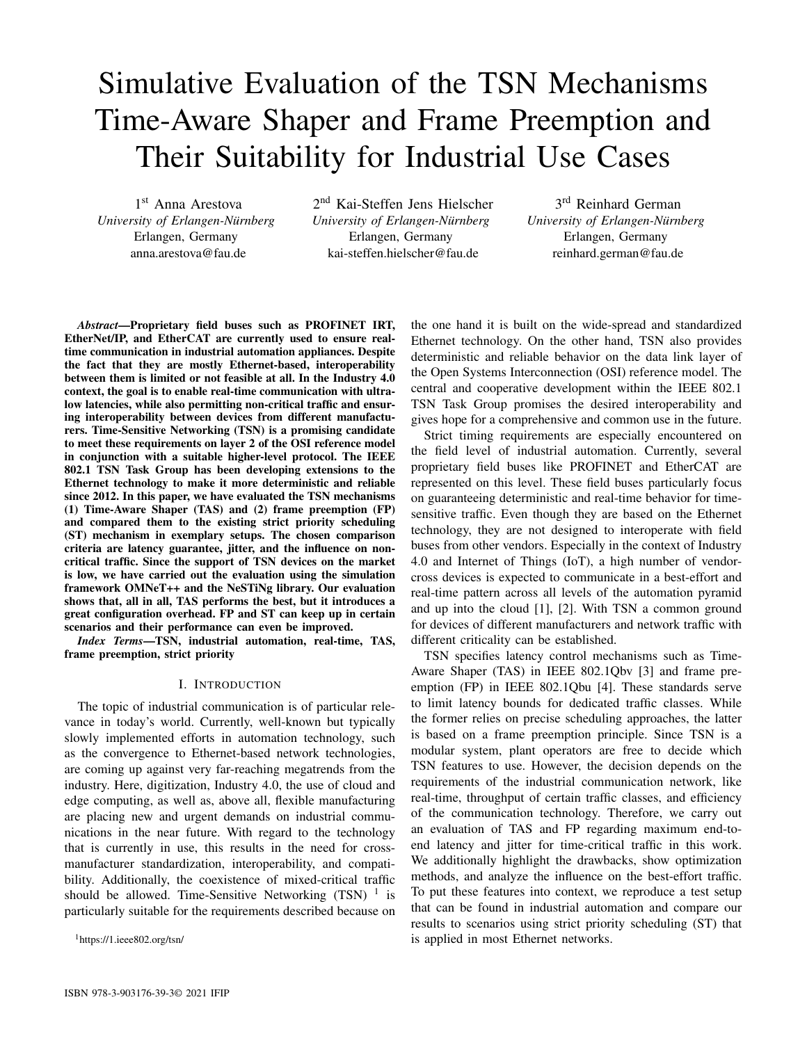# Simulative Evaluation of the TSN Mechanisms Time-Aware Shaper and Frame Preemption and Their Suitability for Industrial Use Cases

1 st Anna Arestova *University of Erlangen-Nürnberg* Erlangen, Germany anna.arestova@fau.de

2 nd Kai-Steffen Jens Hielscher *University of Erlangen-Nürnberg* Erlangen, Germany kai-steffen.hielscher@fau.de

3 rd Reinhard German *University of Erlangen-Nürnberg* Erlangen, Germany reinhard.german@fau.de

*Abstract*—Proprietary field buses such as PROFINET IRT, EtherNet/IP, and EtherCAT are currently used to ensure realtime communication in industrial automation appliances. Despite the fact that they are mostly Ethernet-based, interoperability between them is limited or not feasible at all. In the Industry 4.0 context, the goal is to enable real-time communication with ultralow latencies, while also permitting non-critical traffic and ensuring interoperability between devices from different manufacturers. Time-Sensitive Networking (TSN) is a promising candidate to meet these requirements on layer 2 of the OSI reference model in conjunction with a suitable higher-level protocol. The IEEE 802.1 TSN Task Group has been developing extensions to the Ethernet technology to make it more deterministic and reliable since 2012. In this paper, we have evaluated the TSN mechanisms (1) Time-Aware Shaper (TAS) and (2) frame preemption (FP) and compared them to the existing strict priority scheduling (ST) mechanism in exemplary setups. The chosen comparison criteria are latency guarantee, jitter, and the influence on noncritical traffic. Since the support of TSN devices on the market is low, we have carried out the evaluation using the simulation framework OMNeT++ and the NeSTiNg library. Our evaluation shows that, all in all, TAS performs the best, but it introduces a great configuration overhead. FP and ST can keep up in certain scenarios and their performance can even be improved.

*Index Terms*—TSN, industrial automation, real-time, TAS, frame preemption, strict priority

## I. INTRODUCTION

The topic of industrial communication is of particular relevance in today's world. Currently, well-known but typically slowly implemented efforts in automation technology, such as the convergence to Ethernet-based network technologies, are coming up against very far-reaching megatrends from the industry. Here, digitization, Industry 4.0, the use of cloud and edge computing, as well as, above all, flexible manufacturing are placing new and urgent demands on industrial communications in the near future. With regard to the technology that is currently in use, this results in the need for crossmanufacturer standardization, interoperability, and compatibility. Additionally, the coexistence of mixed-critical traffic should be allowed. Time-Sensitive Networking  $(TSN)^{-1}$  is particularly suitable for the requirements described because on

<sup>1</sup>https://1.ieee802.org/tsn/

the one hand it is built on the wide-spread and standardized Ethernet technology. On the other hand, TSN also provides deterministic and reliable behavior on the data link layer of the Open Systems Interconnection (OSI) reference model. The central and cooperative development within the IEEE 802.1 TSN Task Group promises the desired interoperability and gives hope for a comprehensive and common use in the future.

Strict timing requirements are especially encountered on the field level of industrial automation. Currently, several proprietary field buses like PROFINET and EtherCAT are represented on this level. These field buses particularly focus on guaranteeing deterministic and real-time behavior for timesensitive traffic. Even though they are based on the Ethernet technology, they are not designed to interoperate with field buses from other vendors. Especially in the context of Industry 4.0 and Internet of Things (IoT), a high number of vendorcross devices is expected to communicate in a best-effort and real-time pattern across all levels of the automation pyramid and up into the cloud [1], [2]. With TSN a common ground for devices of different manufacturers and network traffic with different criticality can be established.

TSN specifies latency control mechanisms such as Time-Aware Shaper (TAS) in IEEE 802.1Qbv [3] and frame preemption (FP) in IEEE 802.1Qbu [4]. These standards serve to limit latency bounds for dedicated traffic classes. While the former relies on precise scheduling approaches, the latter is based on a frame preemption principle. Since TSN is a modular system, plant operators are free to decide which TSN features to use. However, the decision depends on the requirements of the industrial communication network, like real-time, throughput of certain traffic classes, and efficiency of the communication technology. Therefore, we carry out an evaluation of TAS and FP regarding maximum end-toend latency and jitter for time-critical traffic in this work. We additionally highlight the drawbacks, show optimization methods, and analyze the influence on the best-effort traffic. To put these features into context, we reproduce a test setup that can be found in industrial automation and compare our results to scenarios using strict priority scheduling (ST) that is applied in most Ethernet networks.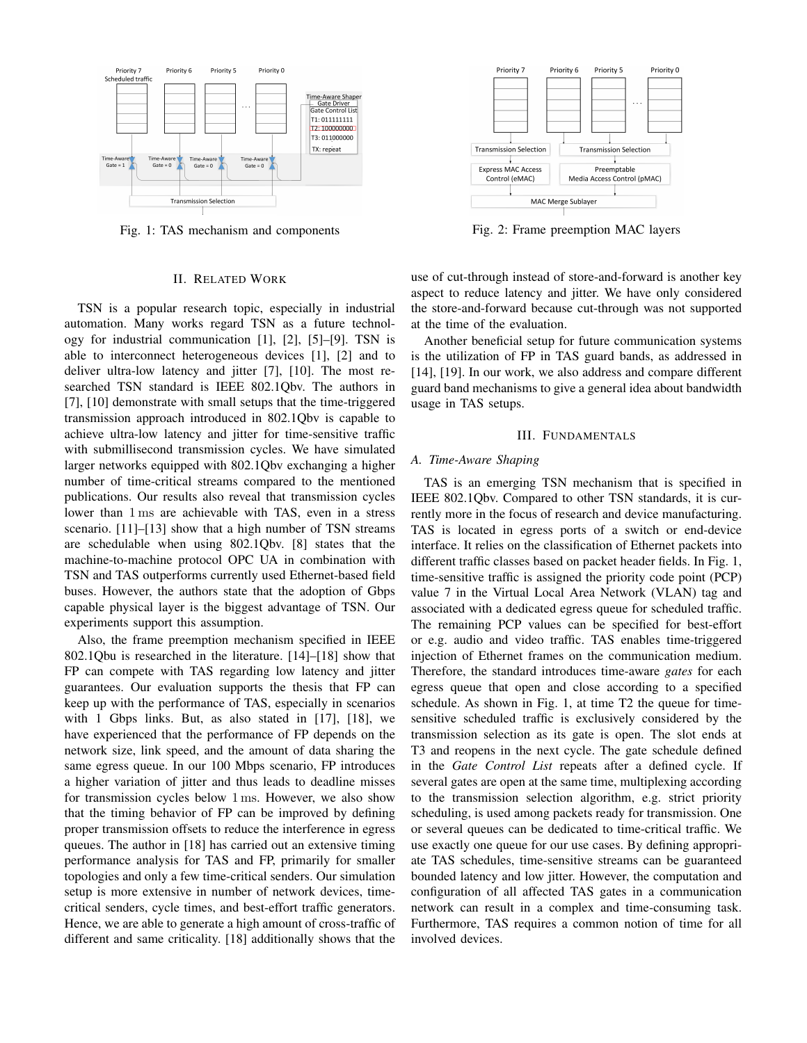

Fig. 1: TAS mechanism and components

## II. RELATED WORK

TSN is a popular research topic, especially in industrial automation. Many works regard TSN as a future technology for industrial communication [1], [2], [5]–[9]. TSN is able to interconnect heterogeneous devices [1], [2] and to deliver ultra-low latency and jitter [7], [10]. The most researched TSN standard is IEEE 802.1Qbv. The authors in [7], [10] demonstrate with small setups that the time-triggered transmission approach introduced in 802.1Qbv is capable to achieve ultra-low latency and jitter for time-sensitive traffic with submillisecond transmission cycles. We have simulated larger networks equipped with 802.1Qbv exchanging a higher number of time-critical streams compared to the mentioned publications. Our results also reveal that transmission cycles lower than 1 ms are achievable with TAS, even in a stress scenario. [11]–[13] show that a high number of TSN streams are schedulable when using 802.1Qbv. [8] states that the machine-to-machine protocol OPC UA in combination with TSN and TAS outperforms currently used Ethernet-based field buses. However, the authors state that the adoption of Gbps capable physical layer is the biggest advantage of TSN. Our experiments support this assumption.

Also, the frame preemption mechanism specified in IEEE 802.1Qbu is researched in the literature. [14]–[18] show that FP can compete with TAS regarding low latency and jitter guarantees. Our evaluation supports the thesis that FP can keep up with the performance of TAS, especially in scenarios with 1 Gbps links. But, as also stated in [17], [18], we have experienced that the performance of FP depends on the network size, link speed, and the amount of data sharing the same egress queue. In our 100 Mbps scenario, FP introduces a higher variation of jitter and thus leads to deadline misses for transmission cycles below 1 ms. However, we also show that the timing behavior of FP can be improved by defining proper transmission offsets to reduce the interference in egress queues. The author in [18] has carried out an extensive timing performance analysis for TAS and FP, primarily for smaller topologies and only a few time-critical senders. Our simulation setup is more extensive in number of network devices, timecritical senders, cycle times, and best-effort traffic generators. Hence, we are able to generate a high amount of cross-traffic of different and same criticality. [18] additionally shows that the



Fig. 2: Frame preemption MAC layers

use of cut-through instead of store-and-forward is another key aspect to reduce latency and jitter. We have only considered the store-and-forward because cut-through was not supported at the time of the evaluation.

Another beneficial setup for future communication systems is the utilization of FP in TAS guard bands, as addressed in [14], [19]. In our work, we also address and compare different guard band mechanisms to give a general idea about bandwidth usage in TAS setups.

## III. FUNDAMENTALS

#### *A. Time-Aware Shaping*

TAS is an emerging TSN mechanism that is specified in IEEE 802.1Qbv. Compared to other TSN standards, it is currently more in the focus of research and device manufacturing. TAS is located in egress ports of a switch or end-device interface. It relies on the classification of Ethernet packets into different traffic classes based on packet header fields. In Fig. 1, time-sensitive traffic is assigned the priority code point (PCP) value 7 in the Virtual Local Area Network (VLAN) tag and associated with a dedicated egress queue for scheduled traffic. The remaining PCP values can be specified for best-effort or e.g. audio and video traffic. TAS enables time-triggered injection of Ethernet frames on the communication medium. Therefore, the standard introduces time-aware *gates* for each egress queue that open and close according to a specified schedule. As shown in Fig. 1, at time T2 the queue for timesensitive scheduled traffic is exclusively considered by the transmission selection as its gate is open. The slot ends at T3 and reopens in the next cycle. The gate schedule defined in the *Gate Control List* repeats after a defined cycle. If several gates are open at the same time, multiplexing according to the transmission selection algorithm, e.g. strict priority scheduling, is used among packets ready for transmission. One or several queues can be dedicated to time-critical traffic. We use exactly one queue for our use cases. By defining appropriate TAS schedules, time-sensitive streams can be guaranteed bounded latency and low jitter. However, the computation and configuration of all affected TAS gates in a communication network can result in a complex and time-consuming task. Furthermore, TAS requires a common notion of time for all involved devices.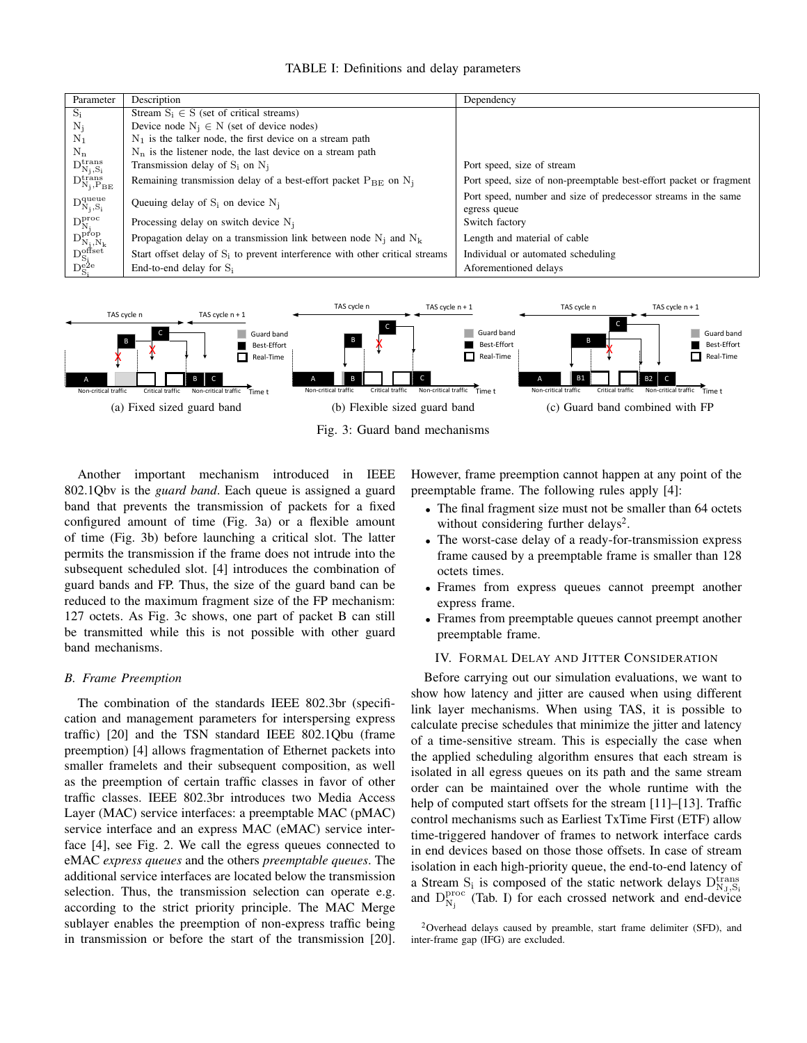| Parameter                                                                                                                                                                                      | Description                                                                     | Dependency                                                                     |
|------------------------------------------------------------------------------------------------------------------------------------------------------------------------------------------------|---------------------------------------------------------------------------------|--------------------------------------------------------------------------------|
| $S_i$                                                                                                                                                                                          | Stream $S_i \in S$ (set of critical streams)                                    |                                                                                |
| $N_i$                                                                                                                                                                                          | Device node $N_i \in N$ (set of device nodes)                                   |                                                                                |
| $N_1$                                                                                                                                                                                          | $N_1$ is the talker node, the first device on a stream path                     |                                                                                |
| $N_n$                                                                                                                                                                                          | $N_n$ is the listener node, the last device on a stream path                    |                                                                                |
|                                                                                                                                                                                                | Transmission delay of $S_i$ on $N_i$                                            | Port speed, size of stream                                                     |
| $\begin{array}{l} \mathbf{D}^\text{trans}_{\mathbf{N_j},\mathbf{S_i}} \\ \mathbf{D}^\text{trans}_{\mathbf{N_j},\mathbf{P_{BE}}} \end{array}$                                                   | Remaining transmission delay of a best-effort packet $P_{BE}$ on $N_j$          | Port speed, size of non-preemptable best-effort packet or fragment             |
| $\mathrm{D_{N_j,S_i}^{queue}}$                                                                                                                                                                 | Queuing delay of $S_i$ on device $N_i$                                          | Port speed, number and size of predecessor streams in the same<br>egress queue |
|                                                                                                                                                                                                | Processing delay on switch device $N_i$                                         | Switch factory                                                                 |
| $\begin{array}{l} \mathbf{D}^\text{proc}_\mathrm{N_j} \\ \mathbf{D}^\text{prop}_\mathrm{N_j,N_k} \\ \mathbf{D}^\text{offset}_\mathrm{S_i} \\ \mathbf{D}^\text{efset}_\mathrm{S_i} \end{array}$ | Propagation delay on a transmission link between node $N_i$ and $N_k$           | Length and material of cable                                                   |
|                                                                                                                                                                                                | Start offset delay of $S_i$ to prevent interference with other critical streams | Individual or automated scheduling                                             |
|                                                                                                                                                                                                | End-to-end delay for $S_i$                                                      | Aforementioned delays                                                          |



Fig. 3: Guard band mechanisms

Another important mechanism introduced in IEEE 802.1Qbv is the *guard band*. Each queue is assigned a guard band that prevents the transmission of packets for a fixed configured amount of time (Fig. 3a) or a flexible amount of time (Fig. 3b) before launching a critical slot. The latter permits the transmission if the frame does not intrude into the subsequent scheduled slot. [4] introduces the combination of guard bands and FP. Thus, the size of the guard band can be reduced to the maximum fragment size of the FP mechanism: 127 octets. As Fig. 3c shows, one part of packet B can still be transmitted while this is not possible with other guard band mechanisms.

#### *B. Frame Preemption*

The combination of the standards IEEE 802.3br (specification and management parameters for interspersing express traffic) [20] and the TSN standard IEEE 802.1Qbu (frame preemption) [4] allows fragmentation of Ethernet packets into smaller framelets and their subsequent composition, as well as the preemption of certain traffic classes in favor of other traffic classes. IEEE 802.3br introduces two Media Access Layer (MAC) service interfaces: a preemptable MAC (pMAC) service interface and an express MAC (eMAC) service interface [4], see Fig. 2. We call the egress queues connected to eMAC *express queues* and the others *preemptable queues*. The additional service interfaces are located below the transmission selection. Thus, the transmission selection can operate e.g. according to the strict priority principle. The MAC Merge sublayer enables the preemption of non-express traffic being in transmission or before the start of the transmission [20]. However, frame preemption cannot happen at any point of the preemptable frame. The following rules apply [4]:

- The final fragment size must not be smaller than 64 octets without considering further delays<sup>2</sup>.
- The worst-case delay of a ready-for-transmission express frame caused by a preemptable frame is smaller than 128 octets times.
- Frames from express queues cannot preempt another express frame.
- Frames from preemptable queues cannot preempt another preemptable frame.

## IV. FORMAL DELAY AND JITTER CONSIDERATION

Before carrying out our simulation evaluations, we want to show how latency and jitter are caused when using different link layer mechanisms. When using TAS, it is possible to calculate precise schedules that minimize the jitter and latency of a time-sensitive stream. This is especially the case when the applied scheduling algorithm ensures that each stream is isolated in all egress queues on its path and the same stream order can be maintained over the whole runtime with the help of computed start offsets for the stream [11]–[13]. Traffic control mechanisms such as Earliest TxTime First (ETF) allow time-triggered handover of frames to network interface cards in end devices based on those those offsets. In case of stream isolation in each high-priority queue, the end-to-end latency of a Stream  $S_i$  is composed of the static network delays  $D_{N_J, S_i}^{trans}$ and  $D_{N_j}^{proc}$  (Tab. I) for each crossed network and end-device

 $2$ Overhead delays caused by preamble, start frame delimiter (SFD), and inter-frame gap (IFG) are excluded.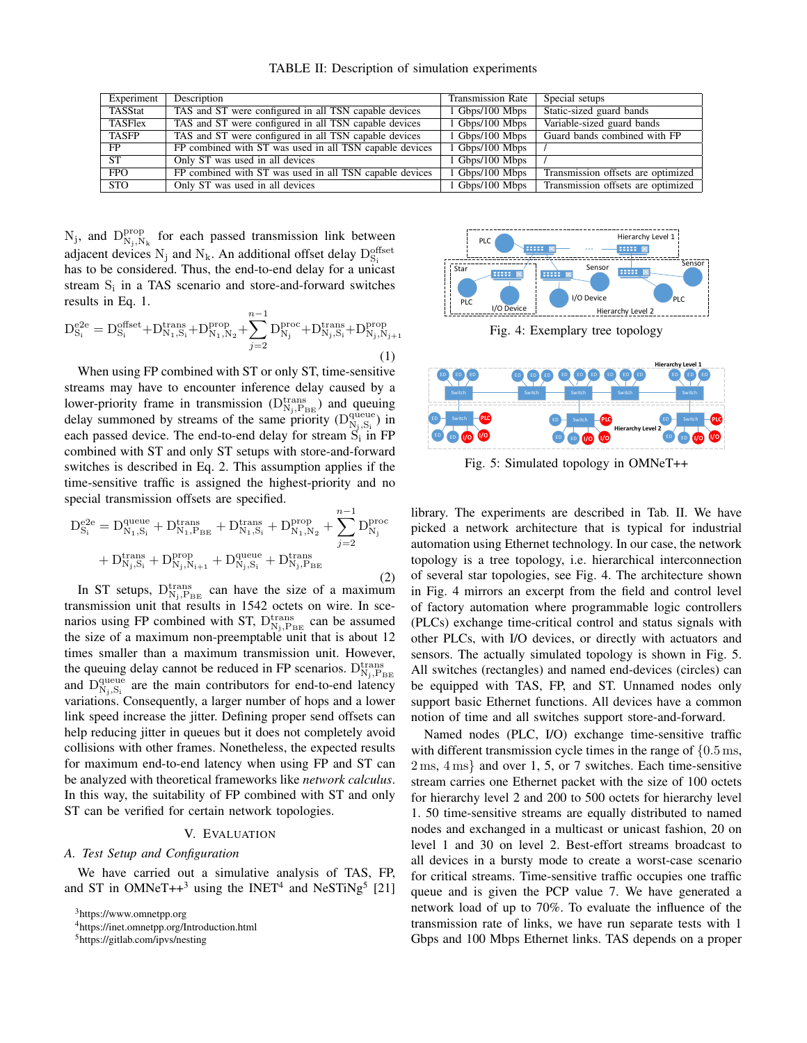TABLE II: Description of simulation experiments

| Experiment | Description                                             | <b>Transmission Rate</b> | Special setups                     |
|------------|---------------------------------------------------------|--------------------------|------------------------------------|
| TASStat    | TAS and ST were configured in all TSN capable devices   | 1 Gbps/100 Mbps          | Static-sized guard bands           |
| TASFlex    | TAS and ST were configured in all TSN capable devices   | 1 Gbps/100 Mbps          | Variable-sized guard bands         |
| TASFP      | TAS and ST were configured in all TSN capable devices   | 1 Gbps/100 Mbps          | Guard bands combined with FP       |
| FP.        | FP combined with ST was used in all TSN capable devices | 1 Gbps/100 Mbps          |                                    |
| <b>ST</b>  | Only ST was used in all devices                         | 1 Gbps/100 Mbps          |                                    |
| <b>FPO</b> | FP combined with ST was used in all TSN capable devices | 1 Gbps/100 Mbps          | Transmission offsets are optimized |
| <b>STO</b> | Only ST was used in all devices                         | 1 Gbps/100 Mbps          | Transmission offsets are optimized |

 $N_j$ , and  $D_{N_j,N_k}^{\text{prop}}$  for each passed transmission link between adjacent devices  $N_j$  and  $N_k$ . An additional offset delay  $D_{S_i}^{\text{offset}}$ has to be considered. Thus, the end-to-end delay for a unicast stream S<sub>i</sub> in a TAS scenario and store-and-forward switches results in Eq. 1.

$$
D_{S_i}^{e2e} = D_{S_i}^{offset} + D_{N_1, S_i}^{trans} + D_{N_1, N_2}^{prop} + \sum_{j=2}^{n-1} D_{N_j}^{proc} + D_{N_j, S_i}^{trans} + D_{N_j, N_{j+1}}^{prop}
$$
\n(1)

When using FP combined with ST or only ST, time-sensitive streams may have to encounter inference delay caused by a lower-priority frame in transmission ( $D_{N_j, P_{BE}}^{trans}$ ) and queuing delay summoned by streams of the same priority  $(D_{N_j,S_i}^{\text{queue}})$  in each passed device. The end-to-end delay for stream  $S_i$  in FP combined with ST and only ST setups with store-and-forward switches is described in Eq. 2. This assumption applies if the time-sensitive traffic is assigned the highest-priority and no special transmission offsets are specified.

$$
D_{S_i}^{e2e} = D_{N_1, S_i}^{queue} + D_{N_1, P_{BE}}^{trans} + D_{N_1, S_i}^{trans} + D_{N_1, N_2}^{prop} + \sum_{j=2}^{n-1} D_{N_j}^{proc} + D_{N_j, S_i}^{trans} + D_{N_j, N_{i+1}}^{prop} + D_{N_j, S_i}^{true} + D_{N_j, P_{BE}}^{trans}
$$
\n(2)

In ST setups,  $D_{N_j, P_{BE}}^{trans}$  can have the size of a maximum transmission unit that results in 1542 octets on wire. In scenarios using FP combined with ST,  $D_{N_j, P_{BE}}^{trans}$  can be assumed the size of a maximum non-preemptable unit that is about 12 times smaller than a maximum transmission unit. However, the queuing delay cannot be reduced in FP scenarios.  $D_{N_j, P_{BE}}^{trans}$ and  $D_{N_j, S_i}^{\text{queue}}$  are the main contributors for end-to-end latency variations. Consequently, a larger number of hops and a lower link speed increase the jitter. Defining proper send offsets can help reducing jitter in queues but it does not completely avoid collisions with other frames. Nonetheless, the expected results for maximum end-to-end latency when using FP and ST can be analyzed with theoretical frameworks like *network calculus*. In this way, the suitability of FP combined with ST and only ST can be verified for certain network topologies.

#### V. EVALUATION

### *A. Test Setup and Configuration*

We have carried out a simulative analysis of TAS, FP, and ST in OMNeT++ $3$  using the INET<sup>4</sup> and NeSTiNg<sup>5</sup> [21]

<sup>3</sup>https://www.omnetpp.org



Fig. 4: Exemplary tree topology



Fig. 5: Simulated topology in OMNeT++

library. The experiments are described in Tab. II. We have picked a network architecture that is typical for industrial automation using Ethernet technology. In our case, the network topology is a tree topology, i.e. hierarchical interconnection of several star topologies, see Fig. 4. The architecture shown in Fig. 4 mirrors an excerpt from the field and control level of factory automation where programmable logic controllers (PLCs) exchange time-critical control and status signals with other PLCs, with I/O devices, or directly with actuators and sensors. The actually simulated topology is shown in Fig. 5. All switches (rectangles) and named end-devices (circles) can be equipped with TAS, FP, and ST. Unnamed nodes only support basic Ethernet functions. All devices have a common notion of time and all switches support store-and-forward.

Named nodes (PLC, I/O) exchange time-sensitive traffic with different transmission cycle times in the range of  $\{0.5 \text{ ms},\}$ 2 ms, 4 ms} and over 1, 5, or 7 switches. Each time-sensitive stream carries one Ethernet packet with the size of 100 octets for hierarchy level 2 and 200 to 500 octets for hierarchy level 1. 50 time-sensitive streams are equally distributed to named nodes and exchanged in a multicast or unicast fashion, 20 on level 1 and 30 on level 2. Best-effort streams broadcast to all devices in a bursty mode to create a worst-case scenario for critical streams. Time-sensitive traffic occupies one traffic queue and is given the PCP value 7. We have generated a network load of up to 70%. To evaluate the influence of the transmission rate of links, we have run separate tests with 1 Gbps and 100 Mbps Ethernet links. TAS depends on a proper

<sup>4</sup>https://inet.omnetpp.org/Introduction.html

<sup>5</sup>https://gitlab.com/ipvs/nesting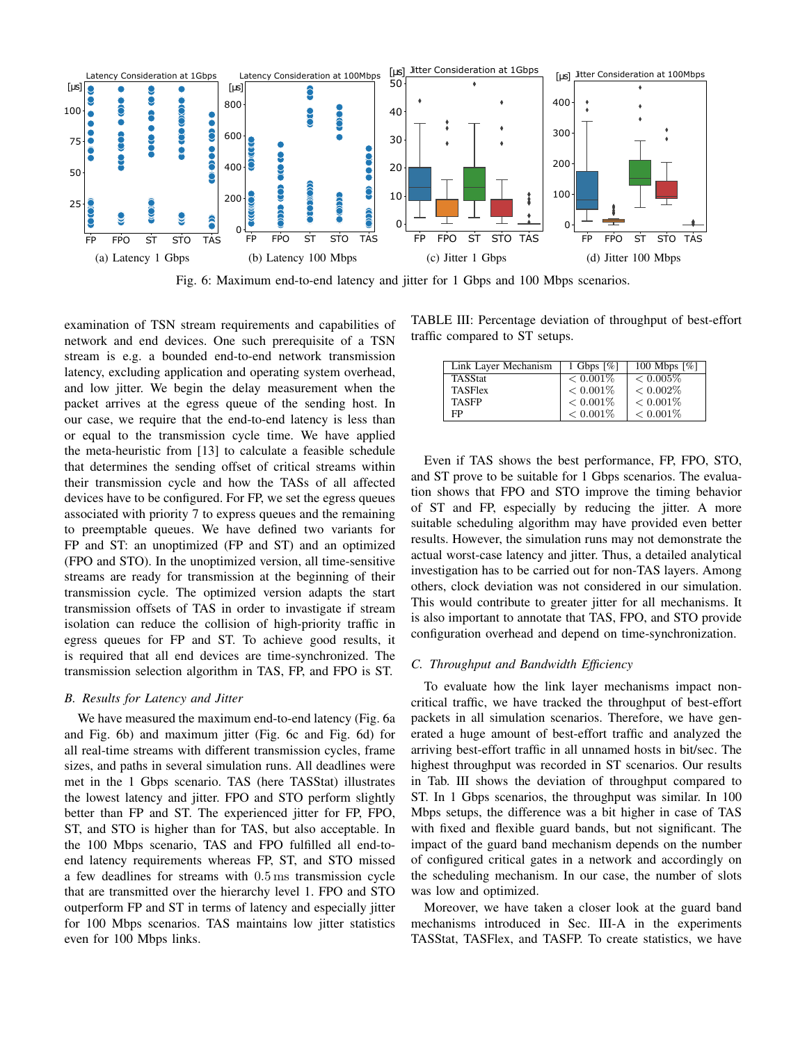

Fig. 6: Maximum end-to-end latency and jitter for 1 Gbps and 100 Mbps scenarios.

examination of TSN stream requirements and capabilities of network and end devices. One such prerequisite of a TSN stream is e.g. a bounded end-to-end network transmission latency, excluding application and operating system overhead, and low jitter. We begin the delay measurement when the packet arrives at the egress queue of the sending host. In our case, we require that the end-to-end latency is less than or equal to the transmission cycle time. We have applied the meta-heuristic from [13] to calculate a feasible schedule that determines the sending offset of critical streams within their transmission cycle and how the TASs of all affected devices have to be configured. For FP, we set the egress queues associated with priority 7 to express queues and the remaining to preemptable queues. We have defined two variants for FP and ST: an unoptimized (FP and ST) and an optimized (FPO and STO). In the unoptimized version, all time-sensitive streams are ready for transmission at the beginning of their transmission cycle. The optimized version adapts the start transmission offsets of TAS in order to invastigate if stream isolation can reduce the collision of high-priority traffic in egress queues for FP and ST. To achieve good results, it is required that all end devices are time-synchronized. The transmission selection algorithm in TAS, FP, and FPO is ST.

#### *B. Results for Latency and Jitter*

We have measured the maximum end-to-end latency (Fig. 6a and Fig. 6b) and maximum jitter (Fig. 6c and Fig. 6d) for all real-time streams with different transmission cycles, frame sizes, and paths in several simulation runs. All deadlines were met in the 1 Gbps scenario. TAS (here TASStat) illustrates the lowest latency and jitter. FPO and STO perform slightly better than FP and ST. The experienced jitter for FP, FPO, ST, and STO is higher than for TAS, but also acceptable. In the 100 Mbps scenario, TAS and FPO fulfilled all end-toend latency requirements whereas FP, ST, and STO missed a few deadlines for streams with 0.5 ms transmission cycle that are transmitted over the hierarchy level 1. FPO and STO outperform FP and ST in terms of latency and especially jitter for 100 Mbps scenarios. TAS maintains low jitter statistics even for 100 Mbps links.

TABLE III: Percentage deviation of throughput of best-effort traffic compared to ST setups.

| Link Layer Mechanism | 1 Gbps $\lceil \% \rceil$ | 100 Mbps $[\%]$ |
|----------------------|---------------------------|-----------------|
| <b>TASStat</b>       | $< 0.001\%$               | $\leq 0.005\%$  |
| <b>TASFlex</b>       | $< 0.001\%$               | $< 0.002\%$     |
| <b>TASFP</b>         | $< 0.001\%$               | $< 0.001\%$     |
| FP                   | $< 0.001\%$               | $< 0.001\%$     |

Even if TAS shows the best performance, FP, FPO, STO, and ST prove to be suitable for 1 Gbps scenarios. The evaluation shows that FPO and STO improve the timing behavior of ST and FP, especially by reducing the jitter. A more suitable scheduling algorithm may have provided even better results. However, the simulation runs may not demonstrate the actual worst-case latency and jitter. Thus, a detailed analytical investigation has to be carried out for non-TAS layers. Among others, clock deviation was not considered in our simulation. This would contribute to greater jitter for all mechanisms. It is also important to annotate that TAS, FPO, and STO provide configuration overhead and depend on time-synchronization.

## *C. Throughput and Bandwidth Efficiency*

To evaluate how the link layer mechanisms impact noncritical traffic, we have tracked the throughput of best-effort packets in all simulation scenarios. Therefore, we have generated a huge amount of best-effort traffic and analyzed the arriving best-effort traffic in all unnamed hosts in bit/sec. The highest throughput was recorded in ST scenarios. Our results in Tab. III shows the deviation of throughput compared to ST. In 1 Gbps scenarios, the throughput was similar. In 100 Mbps setups, the difference was a bit higher in case of TAS with fixed and flexible guard bands, but not significant. The impact of the guard band mechanism depends on the number of configured critical gates in a network and accordingly on the scheduling mechanism. In our case, the number of slots was low and optimized.

Moreover, we have taken a closer look at the guard band mechanisms introduced in Sec. III-A in the experiments TASStat, TASFlex, and TASFP. To create statistics, we have